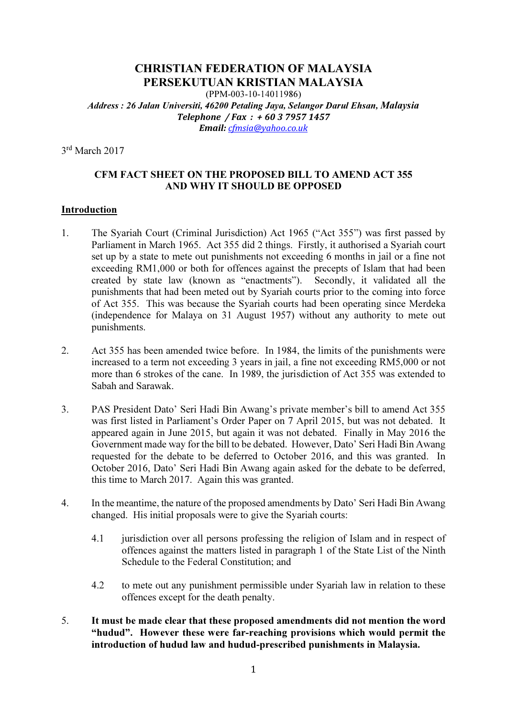### CHRISTIAN FEDERATION OF MALAYSIA PERSEKUTUAN KRISTIAN MALAYSIA (PPM-003-10-14011986) Address : 26 Jalan Universiti, 46200 Petaling Jaya, Selangor Darul Ehsan, Malaysia Telephone / Fax : + 60 3 7957 1457 Email: cfmsia@yahoo.co.uk

3 rd March 2017

### CFM FACT SHEET ON THE PROPOSED BILL TO AMEND ACT 355 AND WHY IT SHOULD BE OPPOSED

#### Introduction

- 1. The Syariah Court (Criminal Jurisdiction) Act 1965 ("Act 355") was first passed by Parliament in March 1965. Act 355 did 2 things. Firstly, it authorised a Syariah court set up by a state to mete out punishments not exceeding 6 months in jail or a fine not exceeding RM1,000 or both for offences against the precepts of Islam that had been created by state law (known as "enactments"). Secondly, it validated all the punishments that had been meted out by Syariah courts prior to the coming into force of Act 355. This was because the Syariah courts had been operating since Merdeka (independence for Malaya on 31 August 1957) without any authority to mete out punishments.
- 2. Act 355 has been amended twice before. In 1984, the limits of the punishments were increased to a term not exceeding 3 years in jail, a fine not exceeding RM5,000 or not more than 6 strokes of the cane. In 1989, the jurisdiction of Act 355 was extended to Sabah and Sarawak.
- 3. PAS President Dato' Seri Hadi Bin Awang's private member's bill to amend Act 355 was first listed in Parliament's Order Paper on 7 April 2015, but was not debated. It appeared again in June 2015, but again it was not debated. Finally in May 2016 the Government made way for the bill to be debated. However, Dato' Seri Hadi Bin Awang requested for the debate to be deferred to October 2016, and this was granted. In October 2016, Dato' Seri Hadi Bin Awang again asked for the debate to be deferred, this time to March 2017. Again this was granted.
- 4. In the meantime, the nature of the proposed amendments by Dato' Seri Hadi Bin Awang changed. His initial proposals were to give the Syariah courts:
	- 4.1 jurisdiction over all persons professing the religion of Islam and in respect of offences against the matters listed in paragraph 1 of the State List of the Ninth Schedule to the Federal Constitution; and
	- 4.2 to mete out any punishment permissible under Syariah law in relation to these offences except for the death penalty.
- 5. It must be made clear that these proposed amendments did not mention the word "hudud". However these were far-reaching provisions which would permit the introduction of hudud law and hudud-prescribed punishments in Malaysia.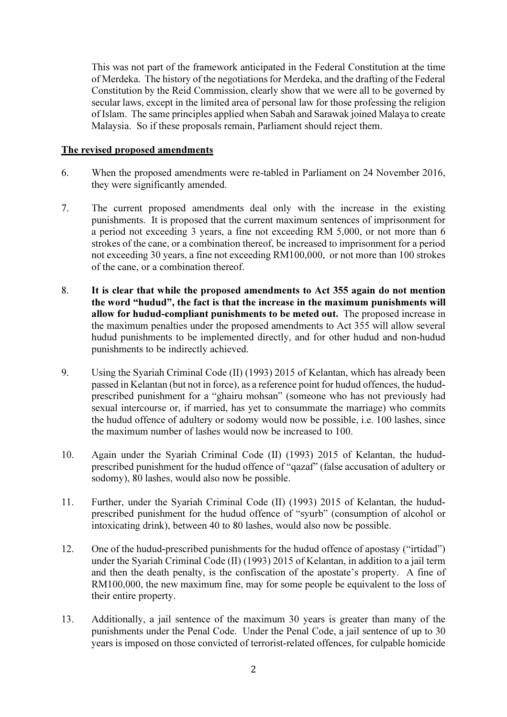This was not part of the framework anticipated in the Federal Constitution at the time of Merdeka. The history of the negotiations for Merdeka, and the drafting of the Federal Constitution by the Reid Commission, clearly show that we were all to be governed by secular laws, except in the limited area of personal law for those professing the religion of Islam. The same principles applied when Sabah and Sarawak joined Malaya to create Malaysia. So if these proposals remain, Parliament should reject them.

#### The revised proposed amendments

- 6. When the proposed amendments were re-tabled in Parliament on 24 November 2016, they were significantly amended.
- 7. The current proposed amendments deal only with the increase in the existing punishments. It is proposed that the current maximum sentences of imprisonment for a period not exceeding 3 years, a fine not exceeding RM 5,000, or not more than 6 strokes of the cane, or a combination thereof, be increased to imprisonment for a period not exceeding 30 years, a fine not exceeding RM100,000, or not more than 100 strokes of the cane, or a combination thereof.
- 8. It is clear that while the proposed amendments to Act 355 again do not mention the word "hudud", the fact is that the increase in the maximum punishments will allow for hudud-compliant punishments to be meted out. The proposed increase in the maximum penalties under the proposed amendments to Act 355 will allow several hudud punishments to be implemented directly, and for other hudud and non-hudud punishments to be indirectly achieved.
- 9. Using the Syariah Criminal Code (II) (1993) 2015 of Kelantan, which has already been passed in Kelantan (but not in force), as a reference point for hudud offences, the hududprescribed punishment for a "ghairu mohsan" (someone who has not previously had sexual intercourse or, if married, has yet to consummate the marriage) who commits the hudud offence of adultery or sodomy would now be possible, i.e. 100 lashes, since the maximum number of lashes would now be increased to 100.
- 10. Again under the Syariah Criminal Code (II) (1993) 2015 of Kelantan, the hududprescribed punishment for the hudud offence of "qazaf" (false accusation of adultery or sodomy), 80 lashes, would also now be possible.
- 11. Further, under the Syariah Criminal Code (II) (1993) 2015 of Kelantan, the hududprescribed punishment for the hudud offence of "syurb" (consumption of alcohol or intoxicating drink), between 40 to 80 lashes, would also now be possible.
- 12. One of the hudud-prescribed punishments for the hudud offence of apostasy ("irtidad") under the Syariah Criminal Code (II) (1993) 2015 of Kelantan, in addition to a jail term and then the death penalty, is the confiscation of the apostate's property. A fine of RM100,000, the new maximum fine, may for some people be equivalent to the loss of their entire property.
- 13. Additionally, a jail sentence of the maximum 30 years is greater than many of the punishments under the Penal Code. Under the Penal Code, a jail sentence of up to 30 years is imposed on those convicted of terrorist-related offences, for culpable homicide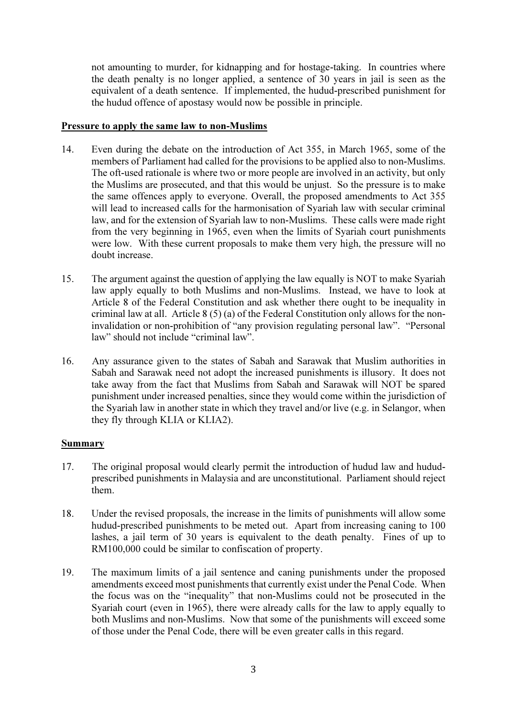not amounting to murder, for kidnapping and for hostage-taking. In countries where the death penalty is no longer applied, a sentence of 30 years in jail is seen as the equivalent of a death sentence. If implemented, the hudud-prescribed punishment for the hudud offence of apostasy would now be possible in principle.

#### Pressure to apply the same law to non-Muslims

- 14. Even during the debate on the introduction of Act 355, in March 1965, some of the members of Parliament had called for the provisions to be applied also to non-Muslims. The oft-used rationale is where two or more people are involved in an activity, but only the Muslims are prosecuted, and that this would be unjust. So the pressure is to make the same offences apply to everyone. Overall, the proposed amendments to Act 355 will lead to increased calls for the harmonisation of Syariah law with secular criminal law, and for the extension of Syariah law to non-Muslims. These calls were made right from the very beginning in 1965, even when the limits of Syariah court punishments were low. With these current proposals to make them very high, the pressure will no doubt increase.
- 15. The argument against the question of applying the law equally is NOT to make Syariah law apply equally to both Muslims and non-Muslims. Instead, we have to look at Article 8 of the Federal Constitution and ask whether there ought to be inequality in criminal law at all. Article 8 (5) (a) of the Federal Constitution only allows for the noninvalidation or non-prohibition of "any provision regulating personal law". "Personal law" should not include "criminal law".
- 16. Any assurance given to the states of Sabah and Sarawak that Muslim authorities in Sabah and Sarawak need not adopt the increased punishments is illusory. It does not take away from the fact that Muslims from Sabah and Sarawak will NOT be spared punishment under increased penalties, since they would come within the jurisdiction of the Syariah law in another state in which they travel and/or live (e.g. in Selangor, when they fly through KLIA or KLIA2).

# Summary

- 17. The original proposal would clearly permit the introduction of hudud law and hududprescribed punishments in Malaysia and are unconstitutional. Parliament should reject them.
- 18. Under the revised proposals, the increase in the limits of punishments will allow some hudud-prescribed punishments to be meted out. Apart from increasing caning to 100 lashes, a jail term of 30 years is equivalent to the death penalty. Fines of up to RM100,000 could be similar to confiscation of property.
- 19. The maximum limits of a jail sentence and caning punishments under the proposed amendments exceed most punishments that currently exist under the Penal Code. When the focus was on the "inequality" that non-Muslims could not be prosecuted in the Syariah court (even in 1965), there were already calls for the law to apply equally to both Muslims and non-Muslims. Now that some of the punishments will exceed some of those under the Penal Code, there will be even greater calls in this regard.